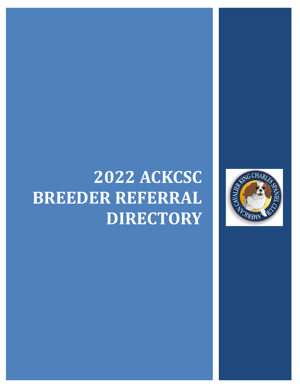# **2022 ACKCSC BREEDER REFERRAL DIRECTORY**

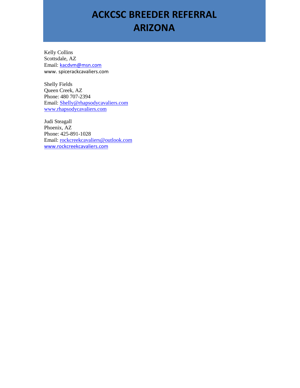### **ACKCSC BREEDER REFERRAL ARIZONA**

Kelly Collins Scottsdale, AZ Email: [kacdvm@msn.com](mailto:kacdvm@msn.com) www. spicerackcavaliers.com

Shelly Fields Queen Creek, AZ Phone: 480 707-2394 Email: [Shelly@rhapsodycavaliers.com](mailto:Shelly@rhapsodycavaliers.com) [www.rhapsodycavaliers.com](http://www.rhapsodycavaliers.com/)

Judi Steagall Phoenix, AZ Phone: 425-891-1028 Email: [rockcreekcavaliers@outlook.com](mailto:rockcreekcavaliers@outlook.com) [www.rockcreekcavaliers.com](http://www.rockcreekcavaliers.com/)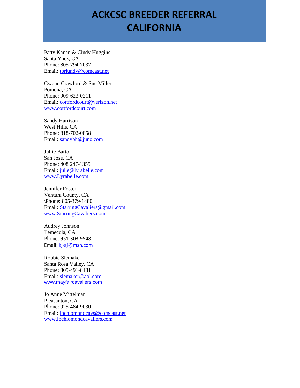#### **ACKCSC BREEDER REFERRAL CALIFORNIA**

Patty Kanan & Cindy Huggins Santa Ynez, CA Phone: 805-794-7037 Email: [torlundy@comcast.net](file:///C:/Users/Owner/Desktop/torlundy@comcast.net)

Gwenn Crawford & Sue Miller Pomona, CA Phone: 909-623-0211 Email: [cottfordcourt@verizon.net](mailto:cottfordcourt@verizon.net) [www.cottfordcourt.com](http://www.cottfordcourt.com/)

Sandy Harrison West Hills, CA Phone: 818-702-0858 Email: [sandybh@juno.com](mailto:sandybh@juno.com)

Jullie Barto San Jose, CA Phone: 408 247-1355 Email: [julie@lyrabelle.com](file:///C:/Users/Owner/AppData/Local/Microsoft/Windows/Temporary%20Internet%20Files/Content.Outlook/DAZWRK21/julie@lyrabelle.com) [www.Lyrabelle.com](http://www.lyrabelle.com/)

Jennifer Foster Ventura County, CA \Phone: 805-379-1480 Email: [StarringCavaliers@gmail.com](mailto:StarringCavaliers@gmail.com) [www.StarringCavaliers.com](http://www.starringcavaliers.com/)

Audrey Johnson Temecula, CA Phone: 951-303-9548 Email: [kj-aj@msn.com](file:///C:/Users/Owner/Desktop/Club%20Stuff/kj-aj@msn.com)

Robbie Slemaker Santa Rosa Valley, CA Phone: 805-491-8181 Email: [slemaker@aol.com](file:///C:/Users/Owner/Desktop/slemaker@aol.com) [www.mayfaircavaliers.com](http://www.mayfaircavaliers.com/)

Jo Anne Mittelman Pleasanton, CA Phone: 925-484-9030 Email: [lochlomondcavs@comcast.net](mailto:lochlomondcavs@comcast.net) [www.lochlomondcavaliers.com](http://www.lochlomondcavaliers.com/)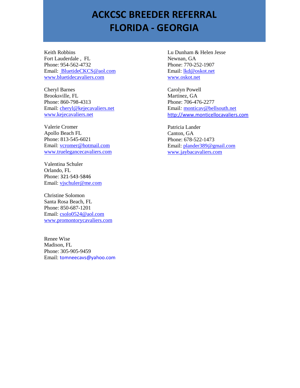#### **ACKCSC BREEDER REFERRAL FLORIDA - GEORGIA**

Keith Robbins Fort Lauderdale , FL Phone: 954-562-4732 Email: [BluetideCKCS@aol.com](mailto:%20BluetideCKCS@aol.com) [www.bluetidecavaliers.com](http://www.bluetidecavaliers.com/)

Cheryl Barnes Brooksville, FL Phone: [860-798-4313](tel:(860)%20798-4313) Email: [cheryl@kejecavaliers.net](mailto:cheryl@kejecavaliers.net) [www.kejecavaliers.net](http://www.kejecavaliers.net/)

Valerie Cromer Apollo Beach FL Phone: 813-545-6021 Email: [vcromer@hotmail.com](mailto:vcromer@hotmail.com) [www.truelegancecavaliers.com](file:///C:/Users/Owner/Desktop/www.truelegancecavaliers.com)

Valentina Schuler Orlando, FL Phone: 321-543-5846 Email: [vjschuler@me.com](mailto:vjschuler@me.com)

Christine Solomon Santa Rosa Beach, FL Phone: 850-687-1201 Email: [csolo0524@aol.com](mailto:csolo0524@aol.com) [www.promontorycavaliers.com](http://www.promontorycavaliers.com/)

Renee Wise Madison, FL Phone: 305-905-9459 Email: [tomneecavs@yahoo.com](mailto:tomneecavs@yahoo.com) Lu Dunham & Helen Jesse Newnan, GA Phone: 770-252-1907 Email: [lkd@oskot.net](mailto:lkd@oskot.net) [www.oskot.net](http://www.oskot.net/)

Carolyn Powell Martinez, GA Phone: 706-476-2277 Email*:* [monticav@bellsouth.net](mailto:monticav@bellsouth.net) [http://www.monticellocavaliers.com](http://www.monticellocavaliers.com/)

Patricia Lander Canton, GA Phone: 678-522-1473 Email: [plander389@gmail.com](mailto:plander389@gmail.com) [www.jaybacavaliers.com](http://www.jaybacavaliers.com/)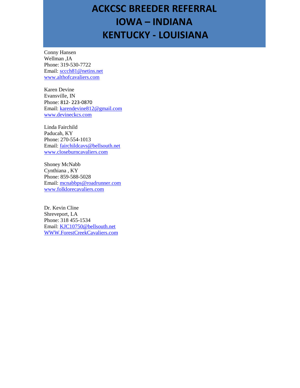## **ACKCSC BREEDER REFERRAL IOWA – INDIANA KENTUCKY - LOUISIANA**

Conny Hansen Wellman ,IA Phone: 319-530-7722 Email: [sccch81@netins.net](mailto:sccch81@netins.net) [www.althofcavaliers.com](http://www.althofcavaliers.com/)

Karen Devine Evansville, IN Phone: 812- 223-0870 Email: [karendevine812@gmail.com](mailto:karendevine812@gmail.com) [www.devineckcs.com](http://www.devineckcs.com/)

Linda Fairchild Paducah, KY Phone: 270-554-1013 Email: [fairchildcavs@bellsouth.net](mailto:fairchildcavs@bellsouth.net) [www.closeburncavaliers.com](http://www.closeburncavaliers.com/)

Shoney McNabb Cynthiana , KY Phone: [859-588-5028](tel:(859)%20588-5028) Email: [mcnabbps@roadrunner.com](mailto:mcnabbps@roadrunner.com) [www.folklorecavaliers.com](http://www.folklorecavaliers.com/)

Dr. Kevin Cline Shreveport, LA Phone: 318 455-1534 Email: [KJC10750@bellsouth.net](mailto:KJC10750@bellsouth.net) [WWW.ForestCreekCavaliers.com](http://www.forestcreekcavaliers.com/)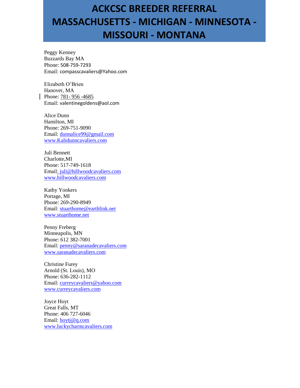## **ACKCSC BREEDER REFERRAL MASSACHUSETTS - MICHIGAN - MINNESOTA - MISSOURI - MONTANA**

Peggy Kenney Buzzards Bay MA Phone: 508-759-7293 Email: compasscavaliers@Yahoo.com

Elizabeth O'Brien Hanover, MA Phone: 781-956 -4685 Email: valentinegoldens@aol.com

Alice Dunn Hamilton, MI Phone: 269-751-9090 Email: [dunnalice99@gmail.com](mailto:dunnalice99@gmail.com) [www.Kalidunncavaliers.com](http://www.kalidunncavaliers.com/)

Juli Bennett Charlotte,MI Phone: 517-749-1618 Emai[l: juli@hillwoodcavaliers.com](file:///C:/Users/Owner/Desktop/:%20juli@hillwoodcavaliers.com) [www.hillwoodcavaliers.com](file:///C:/Users/Owner/Desktop/www.hillwoodcavaliers.com)

Kathy Yonkers Portage, MI Phone: 269-290-8949 Email: [stuarthome@earthlink.net](mailto:stuarthome@earthlink.net) [www.stuarthome.net](http://www.stuarthome.net/)

Penny Freberg Minneapolis, MN Phone: 612 382-7001 Email: [penny@saranadecavaliers.com](mailto:penny@saranadecavaliers.com) [www.saranadecavaliers.com](http://www.saranadecavaliers.com/)

Christine Furey Arnold (St. Louis), MO Phone: 636-282-1112 Email: [curreycavaliers@yahoo.com](mailto:curreycavaliers@yahoo.com) [www.curreycavaliers.com](http://www.curreycavaliers.com/)

Joyce Hoyt Great Falls, MT Phone: 406 727-6046 Email: [hoytj@q.com](mailto:hoytj@q.com) [www.luckycharmcavaliers.com](http://www.luckycharmcavaliers.com/)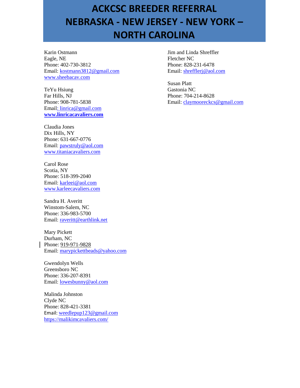## **ACKCSC BREEDER REFERRAL NEBRASKA - NEW JERSEY - NEW YORK – NORTH CAROLINA**

Karin Ostmann Eagle, NE Phone: 402-730-3812 Email: [kostmann3812@gmail.com](file:///C:/Users/Owner/Desktop/kostmann3812@gmail.com) [www.sheebacav.com](http://www.sheebacav.com/)

TeYu Hsiung Far Hills, NJ Phone: 908-781-5838 Emai[l: linrica@gmail.com](file:///C:/Users/Owner/Desktop/:%20linrica@gmail.com) **[www.linricacavaliers.com](http://www.linricacavaliers.com/)**

Claudia Jones Dix Hills, NY Phone: 631-667-0776 Email: [pawstruly@aol.com](mailto:pawstruly@aol.com) [www.titaniacavaliers.com](http://www.titaniacavaliers.com/)

Carol Rose Scotia, NY Phone: 518-399-2040 Email: [karleei@aol.com](mailto:karleei@aol.com) [www.karleecavaliers.com](http://www.karleecavaliers.com/)

Sandra H. Averitt Winstom-Salem, NC Phone: 336-983-5700 Email: [raveritt@earthlink.net](mailto:raveritt@earthlink.net)

Mary Pickett Durham, NC Phone: 919-971-9828 Email: [marypickettbeads@yahoo.com](mailto:marypickettbeads@yahoo.com)

Gwendolyn Wells Greensboro NC Phone: 336-207-8391 Email: [lowesbunny@aol.com](file:///C:/Users/Owner/AppData/Local/Microsoft/Windows/Temporary%20Internet%20Files/Content.Outlook/DAZWRK21/lowesbunny@aol.com)

Malinda Johnston Clyde NC Phone: 828-421-3381 Email: [weedlepup123@gmail.com](mailto:weedlepup123@gmail.com) <https://malikimcavaliers.com/>

Jim and Linda Shreffler Fletcher NC Phone: 828-231-6478 Email: [shrefflerj@aol.com](mailto:shrefflerj@aol.com)

Susan Platt Gastonia NC Phone: 704-214-8628 Email: [claymooreckcs@gmail.com](mailto:claymooreckcs@gmail.com)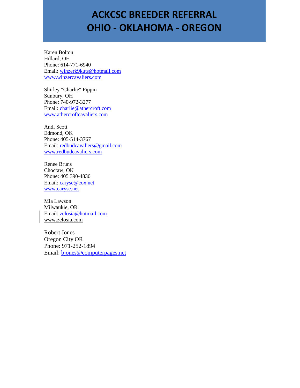#### **ACKCSC BREEDER REFERRAL OHIO - OKLAHOMA - OREGON**

Karen Bolton Hillard, OH Phone: 614-771-6940 Email: [winzerk9kuts@hotmail.com](mailto:winzerk9kuts@hotmail.com) [www.winzercavaliers.com](http://www.winzercavaliers.com/)

Shirley "Charlie" Fippin Sunbury, OH Phone: 740-972-3277 Email: [charlie@athercroft.com](mailto:charlie@athercroft.com) [www.athercroftcavaliers.com](http://www.athercroftcavaliers.com/)

Andi Scott Edmond, OK Phone: 405-514-3767 Email: [redbudcavaliers@gmail.com](mailto:redbudcavaliers@gmail.com) [www.redbudcavaliers.com](http://www.redbudcavaliers.com/)

Renee Bruns Choctaw, OK Phone: 405 390-4830 Email: [caryse@cox.net](mailto:caryse@cox.net) [www.caryse.net](http://www.caryse.net/)

Mia Lawson Milwaukie, OR Email: [zelosia@hotmail.com](mailto:zelosia@hotmail.com) www.zelosia.com

Robert Jones Oregon City OR Phone: 971-252-1894 Email: [bjones@computerpages.net](mailto:bjones@computerpages.net)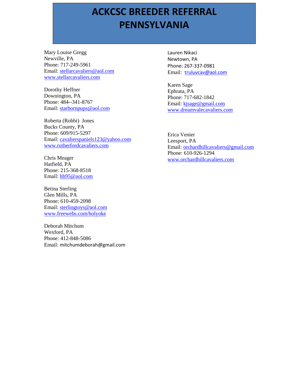## **PENNSYLVANIA PENNSYLVANIA ACKCSC BREEDER REFERRAL**

Mary Louise Gregg Newville, PA Phone: 717-249-5961 Email: [stellarcavaliers@aol.com](mailto:stellarcavaliers@aol.com) [www.stellarcavaliers.com](http://www.stellarcavaliers.com/)

Dorothy Heffner Downington, PA Phone: 484--341-8767 Email: [starbornpups@aol.com](mailto:starbornpups@aol.com)

Roberta (Robbi) Jones Bucks County, PA Phone: 609/915-5297 Email: [cavalierspaniels123@yahoo.com](mailto:cavalierspaniels123@yahoo.com) [www.rutherfordcavaliers.com](http://www.rutherfordcavaliers.com/)

Chris Meager Hatfield, PA Phone: 215-368-8518 Email: [hh95@aol.com](mailto:hh95@aol.com)

Betina Sterling Glen Mills, PA Phone: 610-459-2098 Email: [sterlingtoys@aol.com](mailto:sterlingtoys@aol.com) [www.freewebs.com/holyoke](http://www.freewebs.com/holyoke)

Deborah Mitchum Wexford, PA Phone: 412-848-5086 Email: mitchumdeborah@gmail.com Lauren Nikaci Newtown, PA Phone: 267-337-0981 Email: [truluvcav@aol.com](file:///C:/Users/Owner/Desktop/Club%20Stuff/truluvcav@aol.com)

Karen Sage Ephrata, PA Phone: 717-682-1842 Email: [kjsage@gmail.com](mailto:kjsage@gmail.com) [www.dreamvalecavaliers.com](http://www.dreamvalecavaliers.com/)

Erica Venier Leesport, PA Email: [orchardhillcavaliers@gmail.com](mailto:orchardhillcavaliers@gmail.com) Phone: 610-926-1294 [www.orchardhillcavaliers.com](http://www.orchardhillcavaliers.com/)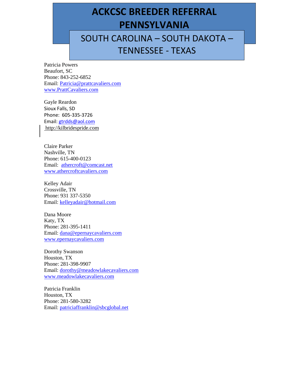## **PENNSYLVANIA PENNSYLVANIA ACKCSC BREEDER REFERRAL**

SOUTH CAROLINA – SOUTH DAKOTA – TENNESSEE - TEXAS

Patricia Powers Beaufort, SC Phone: 843-252-6852 Email: [Patricia@prattcavaliers.com](mailto:Patricia@prattcavaliers.com) [www.PrattCavaliers.com](http://www.prattcavaliers.com/)

Gayle Reardon Sioux Falls, SD Phone: 605-335-3726 Email: [gtrdds@aol.com](mailto:gtrdds@aol.com) [http://kilbridespride.com](http://kilbridespride.com/)

Claire Parker Nashville, TN Phone: 615-400-0123 Email: [athercroft@comcast.net](mailto:athercroft@comcast.net) [www.athercroftcavaliers.com](http://www.athercroftcavaliers.com/)

Kelley Adair Crossville, TN Phone: 931 337-5350 Email: [kelleyadair@hotmail.com](mailto:kelleyadair@hotmail.com)

Dana Moore Katy, TX Phone: 281-395-1411 Email: [dana@epernaycavaliers.com](mailto:dana@epernaycavaliers.com) [www.epernaycavaliers.com](http://www.epernaycavaliers.com/)

Dorothy Swanson Houston, TX Phone: 281-398-9907 Email: [dorothy@meadowlakecavaliers.com](mailto:dorothy@meadowlakecavaliers.com) [www.meadowlakecavaliers.com](http://www.meadowlakecavaliers.com/)

Patricia Franklin Houston, TX Phone: 281-580-3282 Email: [patriciaffranklin@sbcglobal.net](mailto:patriciaffranklin@sbcglobal.net)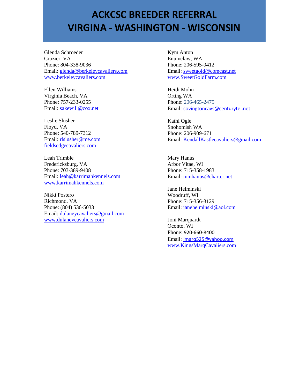#### **ACKCSC BREEDER REFERRAL VIRGINA - WASHINGTON - WISCONSIN**

Glenda Schroeder Crozier, VA Phone: 804-338-9036 Email: [glenda@berkeleycavaliers.com](mailto:glenda@berkeleycavaliers.com) [www.berkeleycavaliers.com](http://www.berkeleycavaliers.com/)

Ellen Williams Virginia Beach, VA Phone: 757-233-0255 Email: [sakewill@cox.net](mailto:sakewill@cox.net)

Leslie Slusher Floyd, VA Phone: 540-789-7312 Email: [rlslusher@me.com](file:///C:/Users/Owner/Desktop/rlslusher@me.com) [fieldsedgecavaliers.com](http://fieldsedgecavaliers.com/)

Leah Trimble Fredericksburg, VA Phone: 703-389-9408 Email: [leah@karrimahkennels.com](file:///C:/Users/Owner/Desktop/leah@karrimahkennels.com) [www.karrimahkennels.com](http://www.karrimahkennels.com/)

Nikki Postero Richmond, VA Phone: (804) 536-5033 Email: [dulaneycavaliers@gmail.com](mailto:dulaneycavaliers@gmail.com) [www.dulaneycavaliers.com](http://www.dulaneycavaliers.com/)

Kym Anton Enumclaw, WA Phone: 206-595-9412 Email: [sweetgold@comcast.net](file:///C:/Users/Owner/AppData/Local/Microsoft/Windows/Temporary%20Internet%20Files/Content.Outlook/DAZWRK21/sweetgold@comcast.net) [www.SweetGoldFarm.com](http://www.sweetgoldfarm.com/)

Heidi Mohn Orting WA Phone: 206-465-2475 Email: [covingtoncavs@centurytel.net](file:///C:/Users/Owner/Desktop/Club%20Stuff/covingtoncavs@centurytel.net)

Kathi Ogle Snohomish WA Phone: 206-909-6711 Email: [KendallKastlecavaliers@gmail.com](mailto:KendallKastlecavaliers@gmail.com)

Mary Hanus Arbor Vitae, WI Phone: 715-358-1983 Email: [mmhanus@charter.net](file:///C:/Users/Owner/Desktop/mmhanus@charter.net)

Jane Helminski Woodruff, WI Phone: 715-356-3129 Email: [janehelminski@aol.com](file:///C:/Users/Owner/Desktop/janehelminski@aol.com)

Joni Marquardt Oconto, WI Phone: 920-660-8400 Email: [jmarq525@yahoo.com](mailto:jmarq525@yahoo.com) [www.KingsMarqCavaliers.com](file:///C:/Users/Owner/Desktop/Club%20Stuff/www.KingsMarqCavaliers.com)